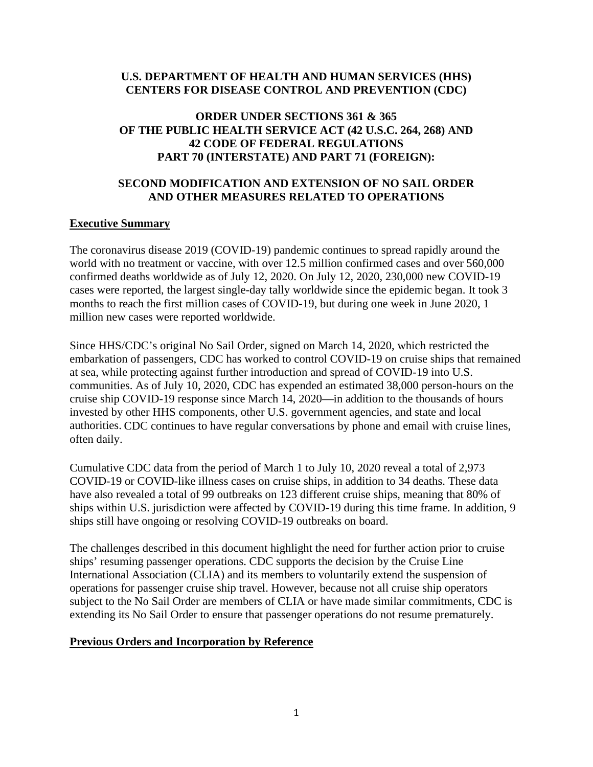### **U.S. DEPARTMENT OF HEALTH AND HUMAN SERVICES (HHS) CENTERS FOR DISEASE CONTROL AND PREVENTION (CDC)**

### **ORDER UNDER SECTIONS 361 & 365 OF THE PUBLIC HEALTH SERVICE ACT (42 U.S.C. 264, 268) AND 42 CODE OF FEDERAL REGULATIONS PART 70 (INTERSTATE) AND PART 71 (FOREIGN):**

### **SECOND MODIFICATION AND EXTENSION OF NO SAIL ORDER AND OTHER MEASURES RELATED TO OPERATIONS**

### **Executive Summary**

The coronavirus disease 2019 (COVID-19) pandemic continues to spread rapidly around the world with no treatment or vaccine, with over 12.5 million confirmed cases and over 560,000 confirmed deaths worldwide as of July 12, 2020. On July 12, 2020, 230,000 new COVID-19 cases were reported, the largest single-day tally worldwide since the epidemic began. It took 3 months to reach the first million cases of COVID-19, but during one week in June 2020, 1 million new cases were reported worldwide.

Since HHS/CDC's original No Sail Order, signed on March 14, 2020, which restricted the embarkation of passengers, CDC has worked to control COVID-19 on cruise ships that remained at sea, while protecting against further introduction and spread of COVID-19 into U.S. communities. As of July 10, 2020, CDC has expended an estimated 38,000 person-hours on the cruise ship COVID-19 response since March 14, 2020—in addition to the thousands of hours invested by other HHS components, other U.S. government agencies, and state and local authorities. CDC continues to have regular conversations by phone and email with cruise lines, often daily.

Cumulative CDC data from the period of March 1 to July 10, 2020 reveal a total of 2,973 COVID-19 or COVID-like illness cases on cruise ships, in addition to 34 deaths. These data have also revealed a total of 99 outbreaks on 123 different cruise ships, meaning that 80% of ships within U.S. jurisdiction were affected by COVID-19 during this time frame. In addition, 9 ships still have ongoing or resolving COVID-19 outbreaks on board.

The challenges described in this document highlight the need for further action prior to cruise ships' resuming passenger operations. CDC supports the decision by the Cruise Line International Association (CLIA) and its members to voluntarily extend the suspension of operations for passenger cruise ship travel. However, because not all cruise ship operators subject to the No Sail Order are members of CLIA or have made similar commitments, CDC is extending its No Sail Order to ensure that passenger operations do not resume prematurely.

#### **Previous Orders and Incorporation by Reference**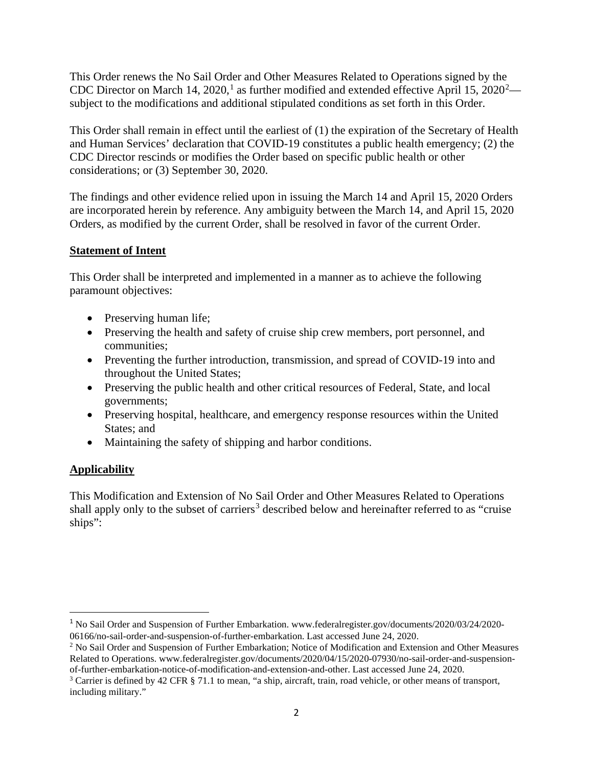This Order renews the No Sail Order and Other Measures Related to Operations signed by the CDC Director on March [1](#page-1-0)4, [2](#page-1-1)020,<sup>1</sup> as further modified and extended effective April 15, 2020<sup>2</sup> subject to the modifications and additional stipulated conditions as set forth in this Order.

This Order shall remain in effect until the earliest of (1) the expiration of the Secretary of Health and Human Services' declaration that COVID-19 constitutes a public health emergency; (2) the CDC Director rescinds or modifies the Order based on specific public health or other considerations; or (3) September 30, 2020.

The findings and other evidence relied upon in issuing the March 14 and April 15, 2020 Orders are incorporated herein by reference. Any ambiguity between the March 14, and April 15, 2020 Orders, as modified by the current Order, shall be resolved in favor of the current Order.

# **Statement of Intent**

This Order shall be interpreted and implemented in a manner as to achieve the following paramount objectives:

- Preserving human life;
- Preserving the health and safety of cruise ship crew members, port personnel, and communities;
- Preventing the further introduction, transmission, and spread of COVID-19 into and throughout the United States;
- Preserving the public health and other critical resources of Federal, State, and local governments;
- Preserving hospital, healthcare, and emergency response resources within the United States; and
- Maintaining the safety of shipping and harbor conditions.

# **Applicability**

This Modification and Extension of No Sail Order and Other Measures Related to Operations shall apply only to the subset of carriers<sup>[3](#page-1-2)</sup> described below and hereinafter referred to as "cruise" ships":

<span id="page-1-0"></span><sup>1</sup> No Sail Order and Suspension of Further Embarkation. [www.federalregister.gov/documents/2020/03/24/2020-](http://www.federalregister.gov/documents/2020/03/24/2020-06166/no-sail-order-and-suspension-of-further-embarkation)

<span id="page-1-1"></span>[<sup>06166/</sup>no-sail-order-and-suspension-of-further-embarkation.](http://www.federalregister.gov/documents/2020/03/24/2020-06166/no-sail-order-and-suspension-of-further-embarkation) Last accessed June 24, 2020.<br><sup>2</sup> No Sail Order and Suspension of Further Embarkation; Notice of Modification and Extension and Other Measures Related to Operations. [www.federalregister.gov/documents/2020/04/15/2020-07930/no-sail-order-and-suspension](http://www.federalregister.gov/documents/2020/04/15/2020-07930/no-sail-order-and-suspension-of-further-embarkation-notice-of-modification-and-extension-and-other)[of-further-embarkation-notice-of-modification-and-extension-and-other.](http://www.federalregister.gov/documents/2020/04/15/2020-07930/no-sail-order-and-suspension-of-further-embarkation-notice-of-modification-and-extension-and-other) Last accessed June 24, 2020.

<span id="page-1-2"></span><sup>&</sup>lt;sup>3</sup> Carrier is defined by 42 CFR § 71.1 to mean, "a ship, aircraft, train, road vehicle, or other means of transport, including military."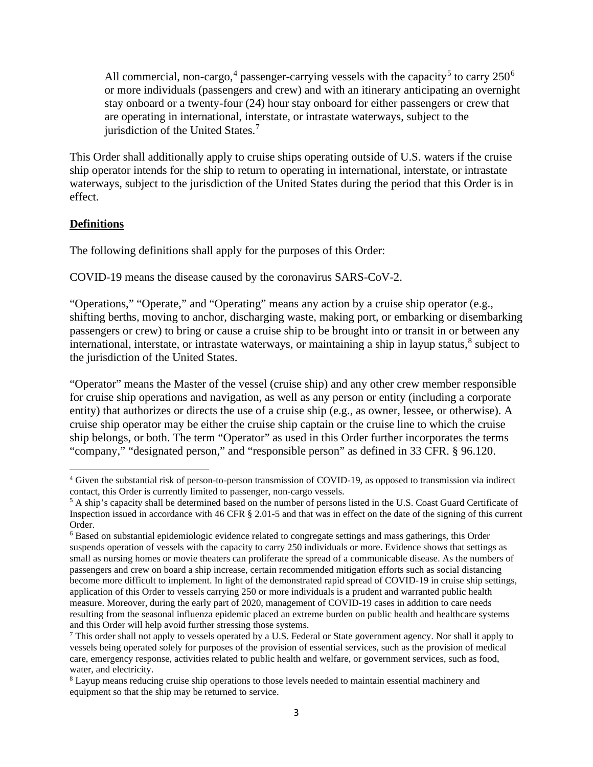All commercial, non-cargo,<sup>[4](#page-2-0)</sup> passenger-carrying vessels with the capacity<sup>[5](#page-2-1)</sup> to carry  $250<sup>6</sup>$  $250<sup>6</sup>$  $250<sup>6</sup>$ or more individuals (passengers and crew) and with an itinerary anticipating an overnight stay onboard or a twenty-four (24) hour stay onboard for either passengers or crew that are operating in international, interstate, or intrastate waterways, subject to the jurisdiction of the United States.<sup>[7](#page-2-3)</sup>

This Order shall additionally apply to cruise ships operating outside of U.S. waters if the cruise ship operator intends for the ship to return to operating in international, interstate, or intrastate waterways, subject to the jurisdiction of the United States during the period that this Order is in effect.

### **Definitions**

The following definitions shall apply for the purposes of this Order:

COVID-19 means the disease caused by the coronavirus SARS-CoV-2.

"Operations," "Operate," and "Operating" means any action by a cruise ship operator (e.g., shifting berths, moving to anchor, discharging waste, making port, or embarking or disembarking passengers or crew) to bring or cause a cruise ship to be brought into or transit in or between any international, interstate, or intrastate waterways, or maintaining a ship in layup status, [8](#page-2-4) subject to the jurisdiction of the United States.

"Operator" means the Master of the vessel (cruise ship) and any other crew member responsible for cruise ship operations and navigation, as well as any person or entity (including a corporate entity) that authorizes or directs the use of a cruise ship (e.g., as owner, lessee, or otherwise). A cruise ship operator may be either the cruise ship captain or the cruise line to which the cruise ship belongs, or both. The term "Operator" as used in this Order further incorporates the terms "company," "designated person," and "responsible person" as defined in 33 CFR. § 96.120.

<span id="page-2-0"></span><sup>4</sup> Given the substantial risk of person-to-person transmission of COVID-19, as opposed to transmission via indirect contact, this Order is currently limited to passenger, non-cargo vessels.

<span id="page-2-1"></span><sup>5</sup> A ship's capacity shall be determined based on the number of persons listed in the U.S. Coast Guard Certificate of Inspection issued in accordance with 46 CFR § 2.01-5 and that was in effect on the date of the signing of this current Order.

<span id="page-2-2"></span><sup>6</sup> Based on substantial epidemiologic evidence related to congregate settings and mass gatherings, this Order suspends operation of vessels with the capacity to carry 250 individuals or more. Evidence shows that settings as small as nursing homes or movie theaters can proliferate the spread of a communicable disease. As the numbers of passengers and crew on board a ship increase, certain recommended mitigation efforts such as social distancing become more difficult to implement. In light of the demonstrated rapid spread of COVID-19 in cruise ship settings, application of this Order to vessels carrying 250 or more individuals is a prudent and warranted public health measure. Moreover, during the early part of 2020, management of COVID-19 cases in addition to care needs resulting from the seasonal influenza epidemic placed an extreme burden on public health and healthcare systems and this Order will help avoid further stressing those systems.

<span id="page-2-3"></span><sup>&</sup>lt;sup>7</sup> This order shall not apply to vessels operated by a U.S. Federal or State government agency. Nor shall it apply to vessels being operated solely for purposes of the provision of essential services, such as the provision of medical care, emergency response, activities related to public health and welfare, or government services, such as food, water, and electricity.

<span id="page-2-4"></span><sup>8</sup> Layup means reducing cruise ship operations to those levels needed to maintain essential machinery and equipment so that the ship may be returned to service.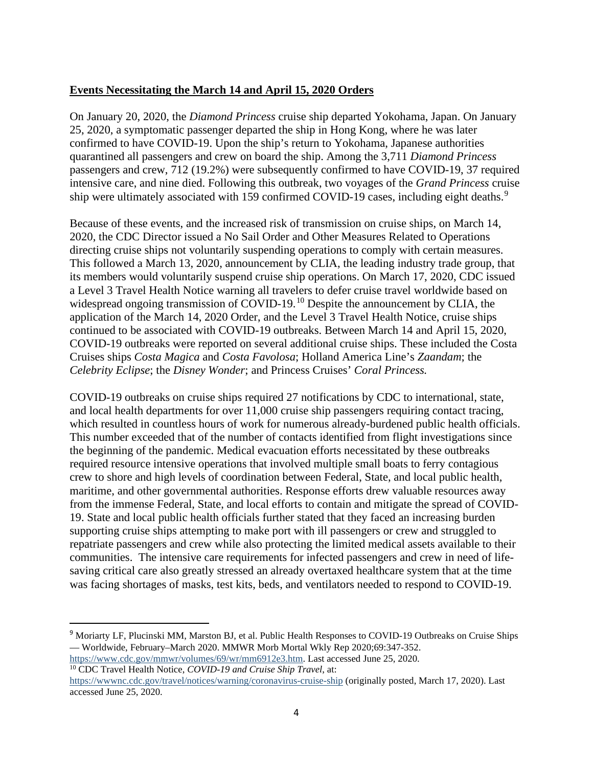# **Events Necessitating the March 14 and April 15, 2020 Orders**

On January 20, 2020, the *Diamond Princess* cruise ship departed Yokohama, Japan. On January 25, 2020, a symptomatic passenger departed the ship in Hong Kong, where he was later confirmed to have COVID-19. Upon the ship's return to Yokohama, Japanese authorities quarantined all passengers and crew on board the ship. Among the 3,711 *Diamond Princess* passengers and crew, 712 (19.2%) were subsequently confirmed to have COVID-19, 37 required intensive care, and nine died. Following this outbreak, two voyages of the *Grand Princess* cruise ship were ultimately associated with 15[9](#page-3-0) confirmed COVID-19 cases, including eight deaths.<sup>9</sup>

Because of these events, and the increased risk of transmission on cruise ships, on March 14, 2020, the CDC Director issued a No Sail Order and Other Measures Related to Operations directing cruise ships not voluntarily suspending operations to comply with certain measures. This followed a March 13, 2020, announcement by CLIA, the leading industry trade group, that its members would voluntarily suspend cruise ship operations. On March 17, 2020, CDC issued a Level 3 Travel Health Notice warning all travelers to defer cruise travel worldwide based on widespread ongoing transmission of COVID-19.<sup>[10](#page-3-1)</sup> Despite the announcement by CLIA, the application of the March 14, 2020 Order, and the Level 3 Travel Health Notice, cruise ships continued to be associated with COVID-19 outbreaks. Between March 14 and April 15, 2020, COVID-19 outbreaks were reported on several additional cruise ships. These included the Costa Cruises ships *Costa Magica* and *Costa Favolosa*; Holland America Line's *Zaandam*; the *Celebrity Eclipse*; the *Disney Wonder*; and Princess Cruises' *Coral Princess.* 

COVID-19 outbreaks on cruise ships required 27 notifications by CDC to international, state, and local health departments for over 11,000 cruise ship passengers requiring contact tracing, which resulted in countless hours of work for numerous already-burdened public health officials. This number exceeded that of the number of contacts identified from flight investigations since the beginning of the pandemic. Medical evacuation efforts necessitated by these outbreaks required resource intensive operations that involved multiple small boats to ferry contagious crew to shore and high levels of coordination between Federal, State, and local public health, maritime, and other governmental authorities. Response efforts drew valuable resources away from the immense Federal, State, and local efforts to contain and mitigate the spread of COVID-19. State and local public health officials further stated that they faced an increasing burden supporting cruise ships attempting to make port with ill passengers or crew and struggled to repatriate passengers and crew while also protecting the limited medical assets available to their communities. The intensive care requirements for infected passengers and crew in need of lifesaving critical care also greatly stressed an already overtaxed healthcare system that at the time was facing shortages of masks, test kits, beds, and ventilators needed to respond to COVID-19.

<span id="page-3-1"></span>[https://www.cdc.gov/mmwr/volumes/69/wr/mm6912e3.htm.](https://www.cdc.gov/mmwr/volumes/69/wr/mm6912e3.htm) Last accessed June 25, 2020. <sup>10</sup> CDC Travel Health Notice, *COVID-19 and Cruise Ship Travel*, at:

<span id="page-3-0"></span><sup>9</sup> Moriarty LF, Plucinski MM, Marston BJ, et al. Public Health Responses to COVID-19 Outbreaks on Cruise Ships — Worldwide, February–March 2020. MMWR Morb Mortal Wkly Rep 2020;69:347-352.

<https://wwwnc.cdc.gov/travel/notices/warning/coronavirus-cruise-ship> (originally posted, March 17, 2020). Last accessed June 25, 2020.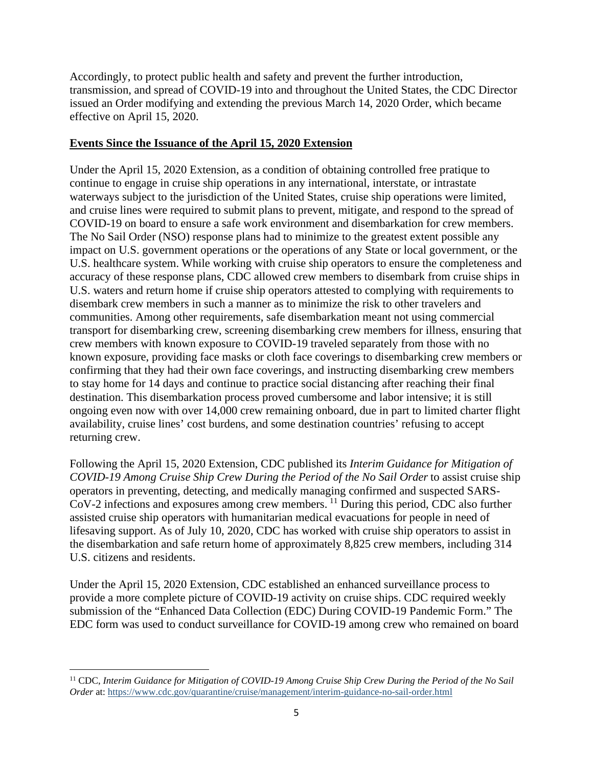Accordingly, to protect public health and safety and prevent the further introduction, transmission, and spread of COVID-19 into and throughout the United States, the CDC Director issued an Order modifying and extending the previous March 14, 2020 Order, which became effective on April 15, 2020.

# **Events Since the Issuance of the April 15, 2020 Extension**

Under the April 15, 2020 Extension, as a condition of obtaining controlled free pratique to continue to engage in cruise ship operations in any international, interstate, or intrastate waterways subject to the jurisdiction of the United States, cruise ship operations were limited, and cruise lines were required to submit plans to prevent, mitigate, and respond to the spread of COVID-19 on board to ensure a safe work environment and disembarkation for crew members. The No Sail Order (NSO) response plans had to minimize to the greatest extent possible any impact on U.S. government operations or the operations of any State or local government, or the U.S. healthcare system. While working with cruise ship operators to ensure the completeness and accuracy of these response plans, CDC allowed crew members to disembark from cruise ships in U.S. waters and return home if cruise ship operators attested to complying with requirements to disembark crew members in such a manner as to minimize the risk to other travelers and communities. Among other requirements, safe disembarkation meant not using commercial transport for disembarking crew, screening disembarking crew members for illness, ensuring that crew members with known exposure to COVID-19 traveled separately from those with no known exposure, providing face masks or cloth face coverings to disembarking crew members or confirming that they had their own face coverings, and instructing disembarking crew members to stay home for 14 days and continue to practice social distancing after reaching their final destination. This disembarkation process proved cumbersome and labor intensive; it is still ongoing even now with over 14,000 crew remaining onboard, due in part to limited charter flight availability, cruise lines' cost burdens, and some destination countries' refusing to accept returning crew.

Following the April 15, 2020 Extension, CDC published its *Interim Guidance for Mitigation of COVID-19 Among Cruise Ship Crew During the Period of the No Sail Order* to assist cruise ship operators in preventing, detecting, and medically managing confirmed and suspected SARS-CoV-2 infections and exposures among crew members. [11](#page-4-0) During this period, CDC also further assisted cruise ship operators with humanitarian medical evacuations for people in need of lifesaving support. As of July 10, 2020, CDC has worked with cruise ship operators to assist in the disembarkation and safe return home of approximately 8,825 crew members, including 314 U.S. citizens and residents.

Under the April 15, 2020 Extension, CDC established an enhanced surveillance process to provide a more complete picture of COVID-19 activity on cruise ships. CDC required weekly submission of the "Enhanced Data Collection (EDC) During COVID-19 Pandemic Form." The EDC form was used to conduct surveillance for COVID-19 among crew who remained on board

<span id="page-4-0"></span><sup>&</sup>lt;sup>11</sup> CDC, Interim Guidance for Mitigation of COVID-19 Among Cruise Ship Crew During the Period of the No Sail *Order* at:<https://www.cdc.gov/quarantine/cruise/management/interim-guidance-no-sail-order.html>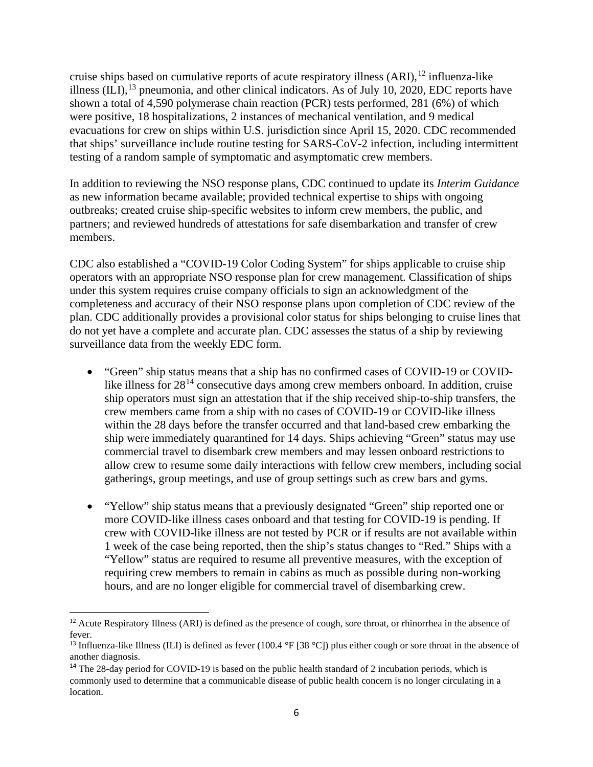cruise ships based on cumulative reports of acute respiratory illness (ARI),<sup>[12](#page-5-0)</sup> influenza-like illness  $(ILI),<sup>13</sup>$  $(ILI),<sup>13</sup>$  $(ILI),<sup>13</sup>$  pneumonia, and other clinical indicators. As of July 10, 2020, EDC reports have shown a total of 4,590 polymerase chain reaction (PCR) tests performed, 281 (6%) of which were positive, 18 hospitalizations, 2 instances of mechanical ventilation, and 9 medical evacuations for crew on ships within U.S. jurisdiction since April 15, 2020. CDC recommended that ships' surveillance include routine testing for SARS-CoV-2 infection, including intermittent testing of a random sample of symptomatic and asymptomatic crew members.

In addition to reviewing the NSO response plans, CDC continued to update its *Interim Guidance* as new information became available; provided technical expertise to ships with ongoing outbreaks; created cruise ship-specific websites to inform crew members, the public, and partners; and reviewed hundreds of attestations for safe disembarkation and transfer of crew members.

CDC also established a "COVID-19 Color Coding System" for ships applicable to cruise ship operators with an appropriate NSO response plan for crew management. Classification of ships under this system requires cruise company officials to sign an acknowledgment of the completeness and accuracy of their NSO response plans upon completion of CDC review of the plan. CDC additionally provides a provisional color status for ships belonging to cruise lines that do not yet have a complete and accurate plan. CDC assesses the status of a ship by reviewing surveillance data from the weekly EDC form.

- "Green" ship status means that a ship has no confirmed cases of COVID-19 or COVIDlike illness for  $28^{14}$  $28^{14}$  $28^{14}$  consecutive days among crew members onboard. In addition, cruise ship operators must sign an attestation that if the ship received ship-to-ship transfers, the crew members came from a ship with no cases of COVID-19 or COVID-like illness within the 28 days before the transfer occurred and that land-based crew embarking the ship were immediately quarantined for 14 days. Ships achieving "Green" status may use commercial travel to disembark crew members and may lessen onboard restrictions to allow crew to resume some daily interactions with fellow crew members, including social gatherings, group meetings, and use of group settings such as crew bars and gyms.
- "Yellow" ship status means that a previously designated "Green" ship reported one or more COVID-like illness cases onboard and that testing for COVID-19 is pending. If crew with COVID-like illness are not tested by PCR or if results are not available within 1 week of the case being reported, then the ship's status changes to "Red." Ships with a "Yellow" status are required to resume all preventive measures, with the exception of requiring crew members to remain in cabins as much as possible during non-working hours, and are no longer eligible for commercial travel of disembarking crew.

<span id="page-5-0"></span><sup>&</sup>lt;sup>12</sup> Acute Respiratory Illness (ARI) is defined as the presence of cough, sore throat, or rhinorrhea in the absence of fever.

<span id="page-5-1"></span><sup>&</sup>lt;sup>13</sup> Influenza-like Illness (ILI) is defined as fever (100.4 °F [38 °C]) plus either cough or sore throat in the absence of another diagnosis.

<span id="page-5-2"></span><sup>&</sup>lt;sup>14</sup> The 28-day period for COVID-19 is based on the public health standard of 2 incubation periods, which is commonly used to determine that a communicable disease of public health concern is no longer circulating in a location.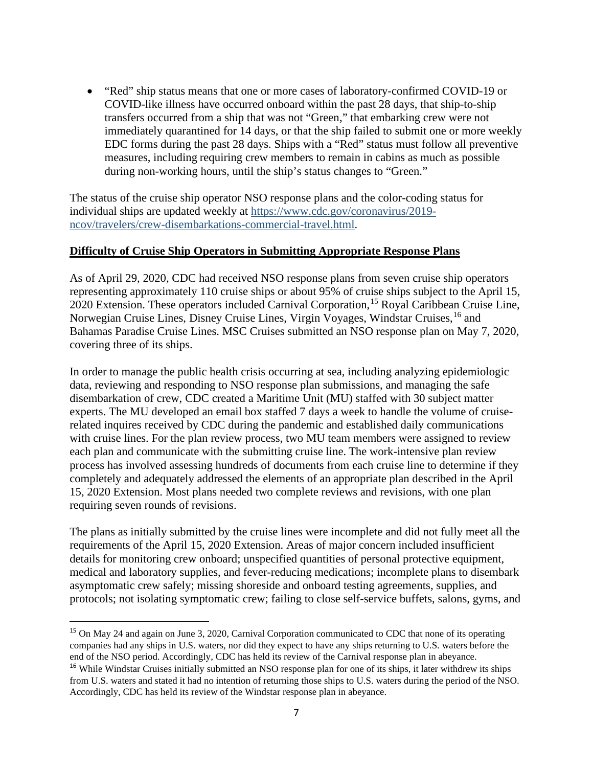• "Red" ship status means that one or more cases of laboratory-confirmed COVID-19 or COVID-like illness have occurred onboard within the past 28 days, that ship-to-ship transfers occurred from a ship that was not "Green," that embarking crew were not immediately quarantined for 14 days, or that the ship failed to submit one or more weekly EDC forms during the past 28 days. Ships with a "Red" status must follow all preventive measures, including requiring crew members to remain in cabins as much as possible during non-working hours, until the ship's status changes to "Green."

The status of the cruise ship operator NSO response plans and the color-coding status for individual ships are updated weekly at [https://www.cdc.gov/coronavirus/2019](https://www.cdc.gov/coronavirus/2019-ncov/travelers/crew-disembarkations-commercial-travel.html) [ncov/travelers/crew-disembarkations-commercial-travel.html.](https://www.cdc.gov/coronavirus/2019-ncov/travelers/crew-disembarkations-commercial-travel.html)

#### **Difficulty of Cruise Ship Operators in Submitting Appropriate Response Plans**

As of April 29, 2020, CDC had received NSO response plans from seven cruise ship operators representing approximately 110 cruise ships or about 95% of cruise ships subject to the April 15, 2020 Extension. These operators included Carnival Corporation, <sup>[15](#page-6-0)</sup> Royal Caribbean Cruise Line, Norwegian Cruise Lines, Disney Cruise Lines, Virgin Voyages, Windstar Cruises, <sup>[16](#page-6-1)</sup> and Bahamas Paradise Cruise Lines. MSC Cruises submitted an NSO response plan on May 7, 2020, covering three of its ships.

In order to manage the public health crisis occurring at sea, including analyzing epidemiologic data, reviewing and responding to NSO response plan submissions, and managing the safe disembarkation of crew, CDC created a Maritime Unit (MU) staffed with 30 subject matter experts. The MU developed an email box staffed 7 days a week to handle the volume of cruiserelated inquires received by CDC during the pandemic and established daily communications with cruise lines. For the plan review process, two MU team members were assigned to review each plan and communicate with the submitting cruise line. The work-intensive plan review process has involved assessing hundreds of documents from each cruise line to determine if they completely and adequately addressed the elements of an appropriate plan described in the April 15, 2020 Extension. Most plans needed two complete reviews and revisions, with one plan requiring seven rounds of revisions.

The plans as initially submitted by the cruise lines were incomplete and did not fully meet all the requirements of the April 15, 2020 Extension. Areas of major concern included insufficient details for monitoring crew onboard; unspecified quantities of personal protective equipment, medical and laboratory supplies, and fever-reducing medications; incomplete plans to disembark asymptomatic crew safely; missing shoreside and onboard testing agreements, supplies, and protocols; not isolating symptomatic crew; failing to close self-service buffets, salons, gyms, and

<span id="page-6-1"></span><span id="page-6-0"></span><sup>&</sup>lt;sup>15</sup> On May 24 and again on June 3, 2020, Carnival Corporation communicated to CDC that none of its operating companies had any ships in U.S. waters, nor did they expect to have any ships returning to U.S. waters before the end of the NSO period. Accordingly, CDC has held its review of the Carnival response plan in abeyance. <sup>16</sup> While Windstar Cruises initially submitted an NSO response plan for one of its ships, it later withdrew its ships from U.S. waters and stated it had no intention of returning those ships to U.S. waters during the period of the NSO. Accordingly, CDC has held its review of the Windstar response plan in abeyance.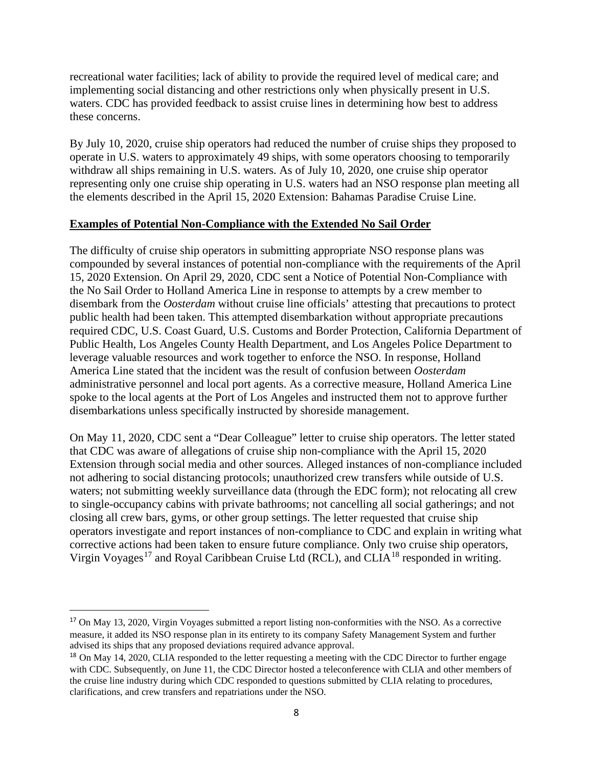recreational water facilities; lack of ability to provide the required level of medical care; and implementing social distancing and other restrictions only when physically present in U.S. waters. CDC has provided feedback to assist cruise lines in determining how best to address these concerns.

By July 10, 2020, cruise ship operators had reduced the number of cruise ships they proposed to operate in U.S. waters to approximately 49 ships, with some operators choosing to temporarily withdraw all ships remaining in U.S. waters. As of July 10, 2020, one cruise ship operator representing only one cruise ship operating in U.S. waters had an NSO response plan meeting all the elements described in the April 15, 2020 Extension: Bahamas Paradise Cruise Line.

#### **Examples of Potential Non-Compliance with the Extended No Sail Order**

The difficulty of cruise ship operators in submitting appropriate NSO response plans was compounded by several instances of potential non-compliance with the requirements of the April 15, 2020 Extension. On April 29, 2020, CDC sent a Notice of Potential Non-Compliance with the No Sail Order to Holland America Line in response to attempts by a crew member to disembark from the *Oosterdam* without cruise line officials' attesting that precautions to protect public health had been taken. This attempted disembarkation without appropriate precautions required CDC, U.S. Coast Guard, U.S. Customs and Border Protection, California Department of Public Health, Los Angeles County Health Department, and Los Angeles Police Department to leverage valuable resources and work together to enforce the NSO. In response, Holland America Line stated that the incident was the result of confusion between *Oosterdam* administrative personnel and local port agents. As a corrective measure, Holland America Line spoke to the local agents at the Port of Los Angeles and instructed them not to approve further disembarkations unless specifically instructed by shoreside management.

On May 11, 2020, CDC sent a "Dear Colleague" letter to cruise ship operators. The letter stated that CDC was aware of allegations of cruise ship non-compliance with the April 15, 2020 Extension through social media and other sources. Alleged instances of non-compliance included not adhering to social distancing protocols; unauthorized crew transfers while outside of U.S. waters; not submitting weekly surveillance data (through the EDC form); not relocating all crew to single-occupancy cabins with private bathrooms; not cancelling all social gatherings; and not closing all crew bars, gyms, or other group settings. The letter requested that cruise ship operators investigate and report instances of non-compliance to CDC and explain in writing what corrective actions had been taken to ensure future compliance. Only two cruise ship operators, Virgin Voyages<sup>[17](#page-7-0)</sup> and Royal Caribbean Cruise Ltd (RCL), and CLIA<sup>[18](#page-7-1)</sup> responded in writing.

<span id="page-7-0"></span><sup>17</sup> On May 13, 2020, Virgin Voyages submitted a report listing non-conformities with the NSO. As a corrective measure, it added its NSO response plan in its entirety to its company Safety Management System and further advised its ships that any proposed deviations required advance approval.

<span id="page-7-1"></span><sup>&</sup>lt;sup>18</sup> On May 14, 2020, CLIA responded to the letter requesting a meeting with the CDC Director to further engage with CDC. Subsequently, on June 11, the CDC Director hosted a teleconference with CLIA and other members of the cruise line industry during which CDC responded to questions submitted by CLIA relating to procedures, clarifications, and crew transfers and repatriations under the NSO.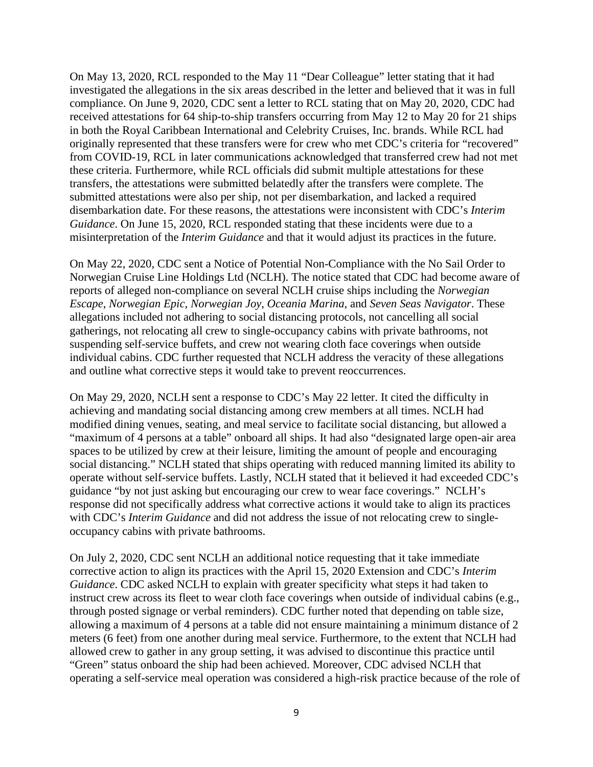On May 13, 2020, RCL responded to the May 11 "Dear Colleague" letter stating that it had investigated the allegations in the six areas described in the letter and believed that it was in full compliance. On June 9, 2020, CDC sent a letter to RCL stating that on May 20, 2020, CDC had received attestations for 64 ship-to-ship transfers occurring from May 12 to May 20 for 21 ships in both the Royal Caribbean International and Celebrity Cruises, Inc. brands. While RCL had originally represented that these transfers were for crew who met CDC's criteria for "recovered" from COVID-19, RCL in later communications acknowledged that transferred crew had not met these criteria. Furthermore, while RCL officials did submit multiple attestations for these transfers, the attestations were submitted belatedly after the transfers were complete. The submitted attestations were also per ship, not per disembarkation, and lacked a required disembarkation date. For these reasons, the attestations were inconsistent with CDC's *Interim Guidance*. On June 15, 2020, RCL responded stating that these incidents were due to a misinterpretation of the *Interim Guidance* and that it would adjust its practices in the future.

On May 22, 2020, CDC sent a Notice of Potential Non-Compliance with the No Sail Order to Norwegian Cruise Line Holdings Ltd (NCLH). The notice stated that CDC had become aware of reports of alleged non-compliance on several NCLH cruise ships including the *Norwegian Escape*, *Norwegian Epic*, *Norwegian Joy*, *Oceania Marina*, and *Seven Seas Navigator*. These allegations included not adhering to social distancing protocols, not cancelling all social gatherings, not relocating all crew to single-occupancy cabins with private bathrooms, not suspending self-service buffets, and crew not wearing cloth face coverings when outside individual cabins. CDC further requested that NCLH address the veracity of these allegations and outline what corrective steps it would take to prevent reoccurrences.

On May 29, 2020, NCLH sent a response to CDC's May 22 letter. It cited the difficulty in achieving and mandating social distancing among crew members at all times. NCLH had modified dining venues, seating, and meal service to facilitate social distancing, but allowed a "maximum of 4 persons at a table" onboard all ships. It had also "designated large open-air area spaces to be utilized by crew at their leisure, limiting the amount of people and encouraging social distancing." NCLH stated that ships operating with reduced manning limited its ability to operate without self-service buffets. Lastly, NCLH stated that it believed it had exceeded CDC's guidance "by not just asking but encouraging our crew to wear face coverings." NCLH's response did not specifically address what corrective actions it would take to align its practices with CDC's *Interim Guidance* and did not address the issue of not relocating crew to singleoccupancy cabins with private bathrooms.

On July 2, 2020, CDC sent NCLH an additional notice requesting that it take immediate corrective action to align its practices with the April 15, 2020 Extension and CDC's *Interim Guidance*. CDC asked NCLH to explain with greater specificity what steps it had taken to instruct crew across its fleet to wear cloth face coverings when outside of individual cabins (e.g., through posted signage or verbal reminders). CDC further noted that depending on table size, allowing a maximum of 4 persons at a table did not ensure maintaining a minimum distance of 2 meters (6 feet) from one another during meal service. Furthermore, to the extent that NCLH had allowed crew to gather in any group setting, it was advised to discontinue this practice until "Green" status onboard the ship had been achieved. Moreover, CDC advised NCLH that operating a self-service meal operation was considered a high-risk practice because of the role of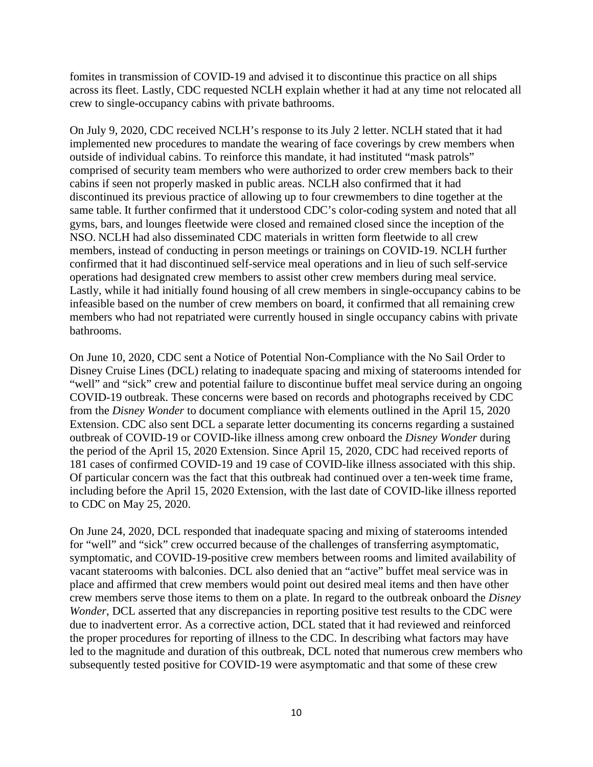fomites in transmission of COVID-19 and advised it to discontinue this practice on all ships across its fleet. Lastly, CDC requested NCLH explain whether it had at any time not relocated all crew to single-occupancy cabins with private bathrooms.

On July 9, 2020, CDC received NCLH's response to its July 2 letter. NCLH stated that it had implemented new procedures to mandate the wearing of face coverings by crew members when outside of individual cabins. To reinforce this mandate, it had instituted "mask patrols" comprised of security team members who were authorized to order crew members back to their cabins if seen not properly masked in public areas. NCLH also confirmed that it had discontinued its previous practice of allowing up to four crewmembers to dine together at the same table. It further confirmed that it understood CDC's color-coding system and noted that all gyms, bars, and lounges fleetwide were closed and remained closed since the inception of the NSO. NCLH had also disseminated CDC materials in written form fleetwide to all crew members, instead of conducting in person meetings or trainings on COVID-19. NCLH further confirmed that it had discontinued self-service meal operations and in lieu of such self-service operations had designated crew members to assist other crew members during meal service. Lastly, while it had initially found housing of all crew members in single-occupancy cabins to be infeasible based on the number of crew members on board, it confirmed that all remaining crew members who had not repatriated were currently housed in single occupancy cabins with private bathrooms.

On June 10, 2020, CDC sent a Notice of Potential Non-Compliance with the No Sail Order to Disney Cruise Lines (DCL) relating to inadequate spacing and mixing of staterooms intended for "well" and "sick" crew and potential failure to discontinue buffet meal service during an ongoing COVID-19 outbreak. These concerns were based on records and photographs received by CDC from the *Disney Wonder* to document compliance with elements outlined in the April 15, 2020 Extension. CDC also sent DCL a separate letter documenting its concerns regarding a sustained outbreak of COVID-19 or COVID-like illness among crew onboard the *Disney Wonder* during the period of the April 15, 2020 Extension. Since April 15, 2020, CDC had received reports of 181 cases of confirmed COVID-19 and 19 case of COVID-like illness associated with this ship. Of particular concern was the fact that this outbreak had continued over a ten-week time frame, including before the April 15, 2020 Extension, with the last date of COVID-like illness reported to CDC on May 25, 2020.

On June 24, 2020, DCL responded that inadequate spacing and mixing of staterooms intended for "well" and "sick" crew occurred because of the challenges of transferring asymptomatic, symptomatic, and COVID-19-positive crew members between rooms and limited availability of vacant staterooms with balconies. DCL also denied that an "active" buffet meal service was in place and affirmed that crew members would point out desired meal items and then have other crew members serve those items to them on a plate. In regard to the outbreak onboard the *Disney Wonder*, DCL asserted that any discrepancies in reporting positive test results to the CDC were due to inadvertent error. As a corrective action, DCL stated that it had reviewed and reinforced the proper procedures for reporting of illness to the CDC. In describing what factors may have led to the magnitude and duration of this outbreak, DCL noted that numerous crew members who subsequently tested positive for COVID-19 were asymptomatic and that some of these crew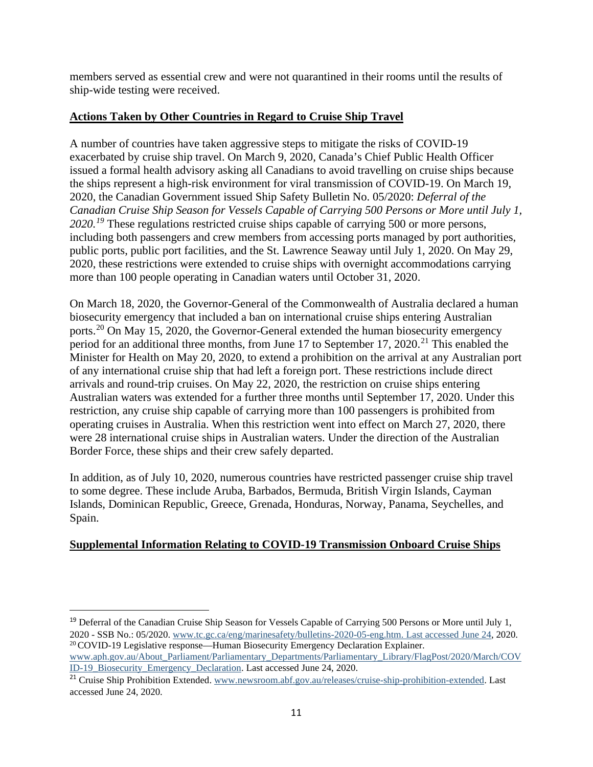members served as essential crew and were not quarantined in their rooms until the results of ship-wide testing were received.

# **Actions Taken by Other Countries in Regard to Cruise Ship Travel**

A number of countries have taken aggressive steps to mitigate the risks of COVID-19 exacerbated by cruise ship travel. On March 9, 2020, Canada's Chief Public Health Officer issued a formal health advisory asking all Canadians to avoid travelling on cruise ships because the ships represent a high-risk environment for viral transmission of COVID-19. On March 19, 2020, the Canadian Government issued Ship Safety Bulletin No. 05/2020: *Deferral of the Canadian Cruise Ship Season for Vessels Capable of Carrying 500 Persons or More until July 1,*  2020.<sup>[19](#page-10-0)</sup> These regulations restricted cruise ships capable of carrying 500 or more persons, including both passengers and crew members from accessing ports managed by port authorities, public ports, public port facilities, and the St. Lawrence Seaway until July 1, 2020. On May 29, 2020, these restrictions were extended to cruise ships with overnight accommodations carrying more than 100 people operating in Canadian waters until October 31, 2020.

On March 18, 2020, the Governor-General of the Commonwealth of Australia declared a human biosecurity emergency that included a ban on international cruise ships entering Australian ports.[20](#page-10-1) On May 15, 2020, the Governor-General extended the human biosecurity emergency period for an additional three months, from June 17 to September 17, 2020.<sup>[21](#page-10-2)</sup> This enabled the Minister for Health on May 20, 2020, to extend a prohibition on the arrival at any Australian port of any international cruise ship that had left a foreign port. These restrictions include direct arrivals and round-trip cruises. On May 22, 2020, the restriction on cruise ships entering Australian waters was extended for a further three months until September 17, 2020. Under this restriction, any cruise ship capable of carrying more than 100 passengers is prohibited from operating cruises in Australia. When this restriction went into effect on March 27, 2020, there were 28 international cruise ships in Australian waters. Under the direction of the Australian Border Force, these ships and their crew safely departed.

In addition, as of July 10, 2020, numerous countries have restricted passenger cruise ship travel to some degree. These include Aruba, Barbados, Bermuda, British Virgin Islands, Cayman Islands, Dominican Republic, Greece, Grenada, Honduras, Norway, Panama, Seychelles, and Spain.

# **Supplemental Information Relating to COVID-19 Transmission Onboard Cruise Ships**

<span id="page-10-1"></span><span id="page-10-0"></span><sup>&</sup>lt;sup>19</sup> Deferral of the Canadian Cruise Ship Season for Vessels Capable of Carrying 500 Persons or More until July 1, 2020 - SSB No.: 05/2020. [www.tc.gc.ca/eng/marinesafety/bulletins-2020-05-eng.htm. Last accessed June 24,](http://www.tc.gc.ca/eng/marinesafety/bulletins-2020-05-eng.htm.%20Last%20accessed%20June%2024) 2020. <sup>20</sup> COVID-19 Legislative response—Human Biosecurity Emergency Declaration Explainer. [www.aph.gov.au/About\\_Parliament/Parliamentary\\_Departments/Parliamentary\\_Library/FlagPost/2020/March/COV](http://www.aph.gov.au/About_Parliament/Parliamentary_Departments/Parliamentary_Library/FlagPost/2020/March/COVID-19_Biosecurity_Emergency_Declaration)

<span id="page-10-2"></span>[ID-19\\_Biosecurity\\_Emergency\\_Declaration.](http://www.aph.gov.au/About_Parliament/Parliamentary_Departments/Parliamentary_Library/FlagPost/2020/March/COVID-19_Biosecurity_Emergency_Declaration) Last accessed June 24, 2020. <sup>21</sup> Cruise Ship Prohibition Extended. [www.newsroom.abf.gov.au/releases/cruise-ship-prohibition-extended.](http://www.newsroom.abf.gov.au/releases/cruise-ship-prohibition-extended) Last accessed June 24, 2020.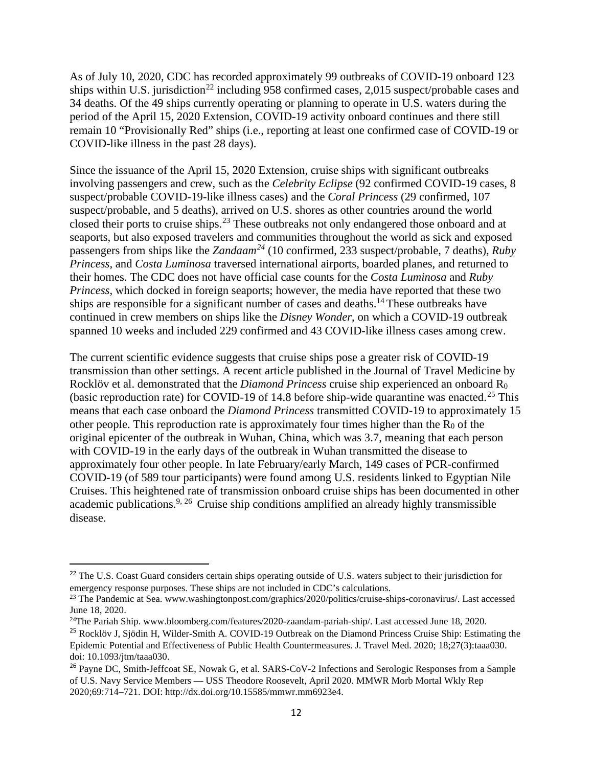As of July 10, 2020, CDC has recorded approximately 99 outbreaks of COVID-19 onboard 123 ships within U.S. jurisdiction<sup>[22](#page-11-0)</sup> including 958 confirmed cases, 2,015 suspect/probable cases and 34 deaths. Of the 49 ships currently operating or planning to operate in U.S. waters during the period of the April 15, 2020 Extension, COVID-19 activity onboard continues and there still remain 10 "Provisionally Red" ships (i.e., reporting at least one confirmed case of COVID-19 or COVID-like illness in the past 28 days).

Since the issuance of the April 15, 2020 Extension, cruise ships with significant outbreaks involving passengers and crew, such as the *Celebrity Eclipse* (92 confirmed COVID-19 cases, 8 suspect/probable COVID-19-like illness cases) and the *Coral Princess* (29 confirmed, 107 suspect/probable, and 5 deaths), arrived on U.S. shores as other countries around the world closed their ports to cruise ships.<sup>[23](#page-11-1)</sup> These outbreaks not only endangered those onboard and at seaports, but also exposed travelers and communities throughout the world as sick and exposed passengers from ships like the *Zandaam[24](#page-11-2)* (10 confirmed, 233 suspect/probable, 7 deaths), *Ruby Princess,* and *Costa Luminosa* traversed international airports, boarded planes, and returned to their homes. The CDC does not have official case counts for the *Costa Luminosa* and *Ruby Princess*, which docked in foreign seaports; however, the media have reported that these two ships are responsible for a significant number of cases and deaths.<sup>14</sup> These outbreaks have continued in crew members on ships like the *Disney Wonder*, on which a COVID-19 outbreak spanned 10 weeks and included 229 confirmed and 43 COVID-like illness cases among crew.

The current scientific evidence suggests that cruise ships pose a greater risk of COVID-19 transmission than other settings. A recent article published in the Journal of Travel Medicine by Rocklöv et al. demonstrated that the *Diamond Princess* cruise ship experienced an onboard R<sub>0</sub> (basic reproduction rate) for COVID-19 of 14.8 before ship-wide quarantine was enacted.<sup>[25](#page-11-3)</sup> This means that each case onboard the *Diamond Princess* transmitted COVID-19 to approximately 15 other people. This reproduction rate is approximately four times higher than the  $R_0$  of the original epicenter of the outbreak in Wuhan, China, which was 3.7, meaning that each person with COVID-19 in the early days of the outbreak in Wuhan transmitted the disease to approximately four other people. In late February/early March, 149 cases of PCR-confirmed COVID-19 (of 589 tour participants) were found among U.S. residents linked to Egyptian Nile Cruises. This heightened rate of transmission onboard cruise ships has been documented in other academic publications.<sup>9, [26](#page-11-4)</sup> Cruise ship conditions amplified an already highly transmissible disease.

<span id="page-11-0"></span><sup>&</sup>lt;sup>22</sup> The U.S. Coast Guard considers certain ships operating outside of U.S. waters subject to their jurisdiction for emergency response purposes. These ships are not included in CDC's calculations.

<span id="page-11-1"></span><sup>&</sup>lt;sup>23</sup> The Pandemic at Sea. [www.washingtonpost.com/graphics/2020/politics/cruise-ships-coronavirus/.](http://www.washingtonpost.com/graphics/2020/politics/cruise-ships-coronavirus/) Last accessed June 18, 2020.

<span id="page-11-2"></span><sup>24</sup>The Pariah Ship. [www.bloomberg.com/features/2020-zaandam-pariah-ship/.](http://www.bloomberg.com/features/2020-zaandam-pariah-ship/) Last accessed June 18, 2020.

<span id="page-11-3"></span><sup>&</sup>lt;sup>25</sup> Rocklöv J, Sjödin H, Wilder-Smith A. COVID-19 Outbreak on the Diamond Princess Cruise Ship: Estimating the Epidemic Potential and Effectiveness of Public Health Countermeasures. J. Travel Med. 2020; 18;27(3):taaa030. doi: 10.1093/jtm/taaa030.

<span id="page-11-4"></span><sup>&</sup>lt;sup>26</sup> Payne DC, Smith-Jeffcoat SE, Nowak G, et al. SARS-CoV-2 Infections and Serologic Responses from a Sample of U.S. Navy Service Members — USS Theodore Roosevelt, April 2020. MMWR Morb Mortal Wkly Rep 2020;69:714–721. DOI: http://dx.doi.org/10.15585/mmwr.mm6923e4.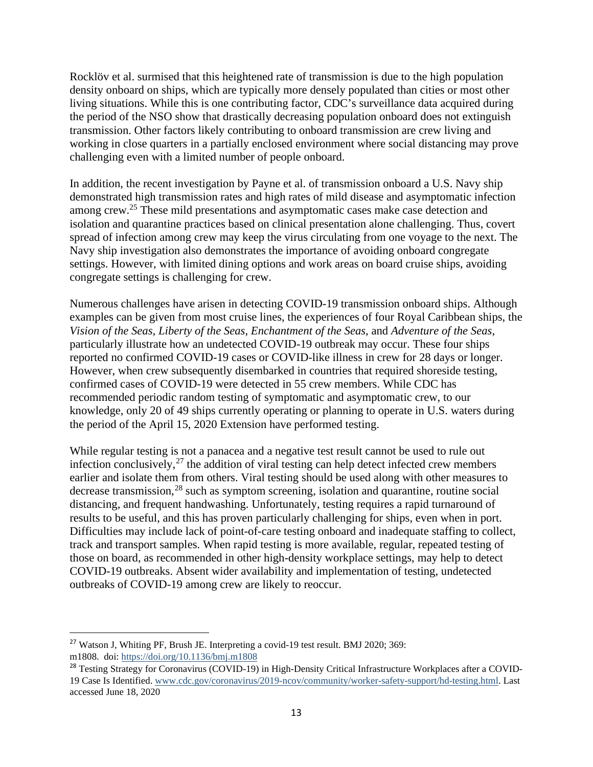Rocklöv et al. surmised that this heightened rate of transmission is due to the high population density onboard on ships, which are typically more densely populated than cities or most other living situations. While this is one contributing factor, CDC's surveillance data acquired during the period of the NSO show that drastically decreasing population onboard does not extinguish transmission. Other factors likely contributing to onboard transmission are crew living and working in close quarters in a partially enclosed environment where social distancing may prove challenging even with a limited number of people onboard.

In addition, the recent investigation by Payne et al. of transmission onboard a U.S. Navy ship demonstrated high transmission rates and high rates of mild disease and asymptomatic infection among crew.<sup>25</sup> These mild presentations and asymptomatic cases make case detection and isolation and quarantine practices based on clinical presentation alone challenging. Thus, covert spread of infection among crew may keep the virus circulating from one voyage to the next. The Navy ship investigation also demonstrates the importance of avoiding onboard congregate settings. However, with limited dining options and work areas on board cruise ships, avoiding congregate settings is challenging for crew.

Numerous challenges have arisen in detecting COVID-19 transmission onboard ships. Although examples can be given from most cruise lines, the experiences of four Royal Caribbean ships, the *Vision of the Seas*, *Liberty of the Seas*, *Enchantment of the Seas*, and *Adventure of the Seas*, particularly illustrate how an undetected COVID-19 outbreak may occur. These four ships reported no confirmed COVID-19 cases or COVID-like illness in crew for 28 days or longer. However, when crew subsequently disembarked in countries that required shoreside testing, confirmed cases of COVID-19 were detected in 55 crew members. While CDC has recommended periodic random testing of symptomatic and asymptomatic crew, to our knowledge, only 20 of 49 ships currently operating or planning to operate in U.S. waters during the period of the April 15, 2020 Extension have performed testing.

While regular testing is not a panacea and a negative test result cannot be used to rule out infection conclusively, $27$  the addition of viral testing can help detect infected crew members earlier and isolate them from others. Viral testing should be used along with other measures to decrease transmission,<sup>[28](#page-12-1)</sup> such as symptom screening, isolation and quarantine, routine social distancing, and frequent handwashing. Unfortunately, testing requires a rapid turnaround of results to be useful, and this has proven particularly challenging for ships, even when in port. Difficulties may include lack of point-of-care testing onboard and inadequate staffing to collect, track and transport samples. When rapid testing is more available, regular, repeated testing of those on board, as recommended in other high-density workplace settings, may help to detect COVID-19 outbreaks. Absent wider availability and implementation of testing, undetected outbreaks of COVID-19 among crew are likely to reoccur.

<span id="page-12-0"></span><sup>27</sup> Watson J, Whiting PF, Brush JE. Interpreting a covid-19 test result. BMJ 2020; 369: m1808. doi: <https://doi.org/10.1136/bmj.m1808>

<span id="page-12-1"></span><sup>&</sup>lt;sup>28</sup> Testing Strategy for Coronavirus (COVID-19) in High-Density Critical Infrastructure Workplaces after a COVID-19 Case Is Identified. [www.cdc.gov/coronavirus/2019-ncov/community/worker-safety-support/hd-testing.html.](http://www.cdc.gov/coronavirus/2019-ncov/community/worker-safety-support/hd-testing.html) Last accessed June 18, 2020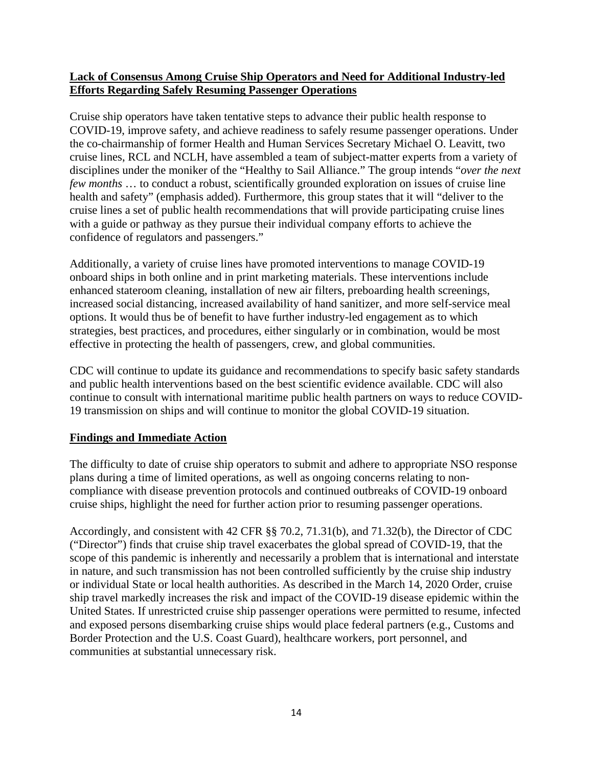# **Lack of Consensus Among Cruise Ship Operators and Need for Additional Industry-led Efforts Regarding Safely Resuming Passenger Operations**

Cruise ship operators have taken tentative steps to advance their public health response to COVID-19, improve safety, and achieve readiness to safely resume passenger operations. Under the co-chairmanship of former Health and Human Services Secretary Michael O. Leavitt, two cruise lines, RCL and NCLH, have assembled a team of subject-matter experts from a variety of disciplines under the moniker of the "Healthy to Sail Alliance." The group intends "*over the next few months* … to conduct a robust, scientifically grounded exploration on issues of cruise line health and safety" (emphasis added). Furthermore, this group states that it will "deliver to the cruise lines a set of public health recommendations that will provide participating cruise lines with a guide or pathway as they pursue their individual company efforts to achieve the confidence of regulators and passengers."

Additionally, a variety of cruise lines have promoted interventions to manage COVID-19 onboard ships in both online and in print marketing materials. These interventions include enhanced stateroom cleaning, installation of new air filters, preboarding health screenings, increased social distancing, increased availability of hand sanitizer, and more self-service meal options. It would thus be of benefit to have further industry-led engagement as to which strategies, best practices, and procedures, either singularly or in combination, would be most effective in protecting the health of passengers, crew, and global communities.

CDC will continue to update its guidance and recommendations to specify basic safety standards and public health interventions based on the best scientific evidence available. CDC will also continue to consult with international maritime public health partners on ways to reduce COVID-19 transmission on ships and will continue to monitor the global COVID-19 situation.

# **Findings and Immediate Action**

The difficulty to date of cruise ship operators to submit and adhere to appropriate NSO response plans during a time of limited operations, as well as ongoing concerns relating to noncompliance with disease prevention protocols and continued outbreaks of COVID-19 onboard cruise ships, highlight the need for further action prior to resuming passenger operations.

Accordingly, and consistent with 42 CFR §§ 70.2, 71.31(b), and 71.32(b), the Director of CDC ("Director") finds that cruise ship travel exacerbates the global spread of COVID-19, that the scope of this pandemic is inherently and necessarily a problem that is international and interstate in nature, and such transmission has not been controlled sufficiently by the cruise ship industry or individual State or local health authorities. As described in the March 14, 2020 Order, cruise ship travel markedly increases the risk and impact of the COVID-19 disease epidemic within the United States. If unrestricted cruise ship passenger operations were permitted to resume, infected and exposed persons disembarking cruise ships would place federal partners (e.g., Customs and Border Protection and the U.S. Coast Guard), healthcare workers, port personnel, and communities at substantial unnecessary risk.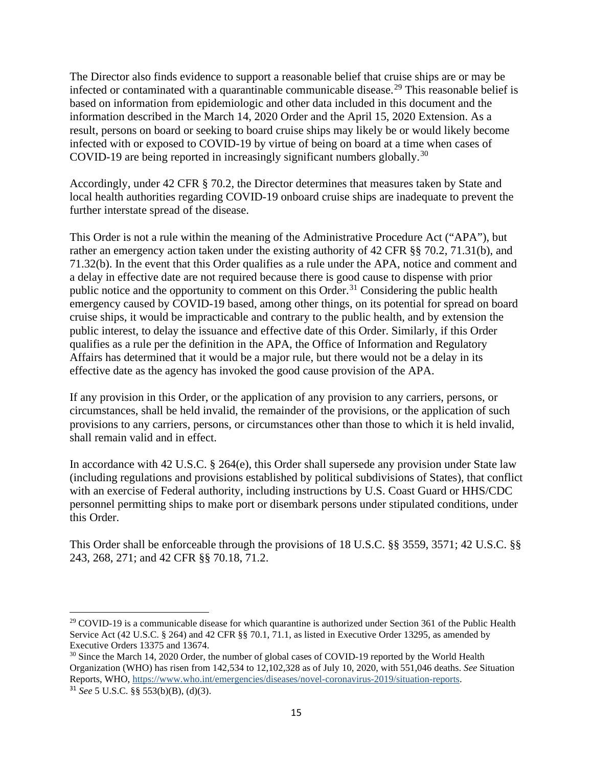The Director also finds evidence to support a reasonable belief that cruise ships are or may be infected or contaminated with a quarantinable communicable disease.[29](#page-14-0) This reasonable belief is based on information from epidemiologic and other data included in this document and the information described in the March 14, 2020 Order and the April 15, 2020 Extension. As a result, persons on board or seeking to board cruise ships may likely be or would likely become infected with or exposed to COVID-19 by virtue of being on board at a time when cases of COVID-19 are being reported in increasingly significant numbers globally.<sup>[30](#page-14-1)</sup>

Accordingly, under 42 CFR § 70.2, the Director determines that measures taken by State and local health authorities regarding COVID-19 onboard cruise ships are inadequate to prevent the further interstate spread of the disease.

This Order is not a rule within the meaning of the Administrative Procedure Act ("APA"), but rather an emergency action taken under the existing authority of 42 CFR §§ 70.2, 71.31(b), and 71.32(b). In the event that this Order qualifies as a rule under the APA, notice and comment and a delay in effective date are not required because there is good cause to dispense with prior public notice and the opportunity to comment on this Order.<sup>[31](#page-14-2)</sup> Considering the public health emergency caused by COVID-19 based, among other things, on its potential for spread on board cruise ships, it would be impracticable and contrary to the public health, and by extension the public interest, to delay the issuance and effective date of this Order. Similarly, if this Order qualifies as a rule per the definition in the APA, the Office of Information and Regulatory Affairs has determined that it would be a major rule, but there would not be a delay in its effective date as the agency has invoked the good cause provision of the APA.

If any provision in this Order, or the application of any provision to any carriers, persons, or circumstances, shall be held invalid, the remainder of the provisions, or the application of such provisions to any carriers, persons, or circumstances other than those to which it is held invalid, shall remain valid and in effect.

In accordance with 42 U.S.C. § 264(e), this Order shall supersede any provision under State law (including regulations and provisions established by political subdivisions of States), that conflict with an exercise of Federal authority, including instructions by U.S. Coast Guard or HHS/CDC personnel permitting ships to make port or disembark persons under stipulated conditions, under this Order.

This Order shall be enforceable through the provisions of 18 U.S.C. §§ 3559, 3571; 42 U.S.C. §§ 243, 268, 271; and 42 CFR §§ 70.18, 71.2.

<span id="page-14-0"></span><sup>&</sup>lt;sup>29</sup> COVID-19 is a communicable disease for which quarantine is authorized under Section 361 of the Public Health Service Act (42 U.S.C. § 264) and 42 CFR §§ 70.1, 71.1, as listed in Executive Order 13295, as amended by Executive Orders 13375 and 13674.

<span id="page-14-2"></span><span id="page-14-1"></span><sup>&</sup>lt;sup>30</sup> Since the March 14, 2020 Order, the number of global cases of COVID-19 reported by the World Health Organization (WHO) has risen from 142,534 to 12,102,328 as of July 10, 2020, with 551,046 deaths. *See* Situation Reports, WHO, [https://www.who.int/emergencies/diseases/novel-coronavirus-2019/situation-reports.](https://www.who.int/emergencies/diseases/novel-coronavirus-2019/situation-reports) <sup>31</sup> *See* 5 U.S.C. §§ 553(b)(B), (d)(3).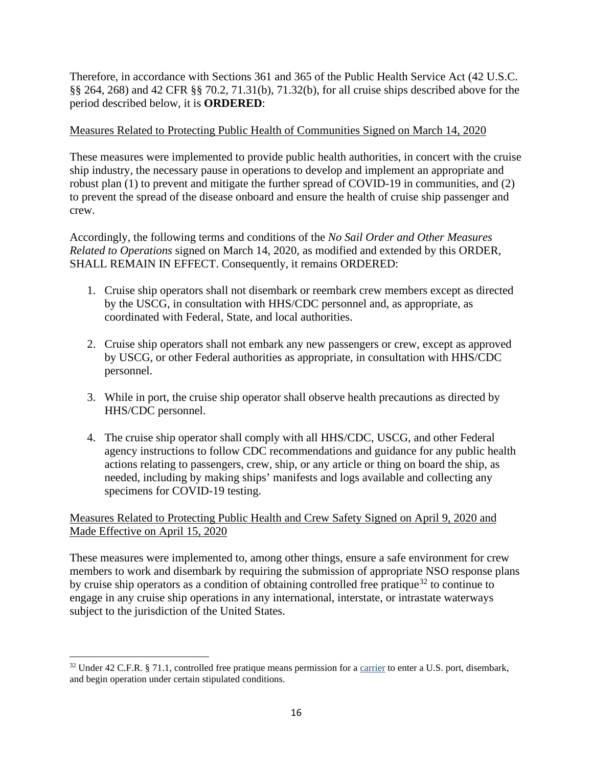Therefore, in accordance with Sections 361 and 365 of the Public Health Service Act (42 U.S.C. §§ 264, 268) and 42 CFR §§ 70.2, 71.31(b), 71.32(b), for all cruise ships described above for the period described below, it is **ORDERED**:

### Measures Related to Protecting Public Health of Communities Signed on March 14, 2020

These measures were implemented to provide public health authorities, in concert with the cruise ship industry, the necessary pause in operations to develop and implement an appropriate and robust plan (1) to prevent and mitigate the further spread of COVID-19 in communities, and (2) to prevent the spread of the disease onboard and ensure the health of cruise ship passenger and crew.

Accordingly, the following terms and conditions of the *No Sail Order and Other Measures Related to Operations* signed on March 14, 2020, as modified and extended by this ORDER, SHALL REMAIN IN EFFECT. Consequently, it remains ORDERED:

- 1. Cruise ship operators shall not disembark or reembark crew members except as directed by the USCG, in consultation with HHS/CDC personnel and, as appropriate, as coordinated with Federal, State, and local authorities.
- 2. Cruise ship operators shall not embark any new passengers or crew, except as approved by USCG, or other Federal authorities as appropriate, in consultation with HHS/CDC personnel.
- 3. While in port, the cruise ship operator shall observe health precautions as directed by HHS/CDC personnel.
- 4. The cruise ship operator shall comply with all HHS/CDC, USCG, and other Federal agency instructions to follow CDC recommendations and guidance for any public health actions relating to passengers, crew, ship, or any article or thing on board the ship, as needed, including by making ships' manifests and logs available and collecting any specimens for COVID-19 testing.

# Measures Related to Protecting Public Health and Crew Safety Signed on April 9, 2020 and Made Effective on April 15, 2020

These measures were implemented to, among other things, ensure a safe environment for crew members to work and disembark by requiring the submission of appropriate NSO response plans by cruise ship operators as a condition of obtaining controlled free pratique<sup>[32](#page-15-0)</sup> to continue to engage in any cruise ship operations in any international, interstate, or intrastate waterways subject to the jurisdiction of the United States.

<span id="page-15-0"></span> $32$  Under 42 C.F.R. § 71.1, controlled free pratique means permission for a [carrier](https://www.law.cornell.edu/definitions/index.php?width=840&height=800&iframe=true&def_id=aeac8dd5a437c592058e4649c77dbf01&term_occur=999&term_src=Title:42:Chapter:I:Subchapter:F:Part:71:Subpart:A:71.1) to enter a U.S. port, disembark, and begin operation under certain stipulated conditions.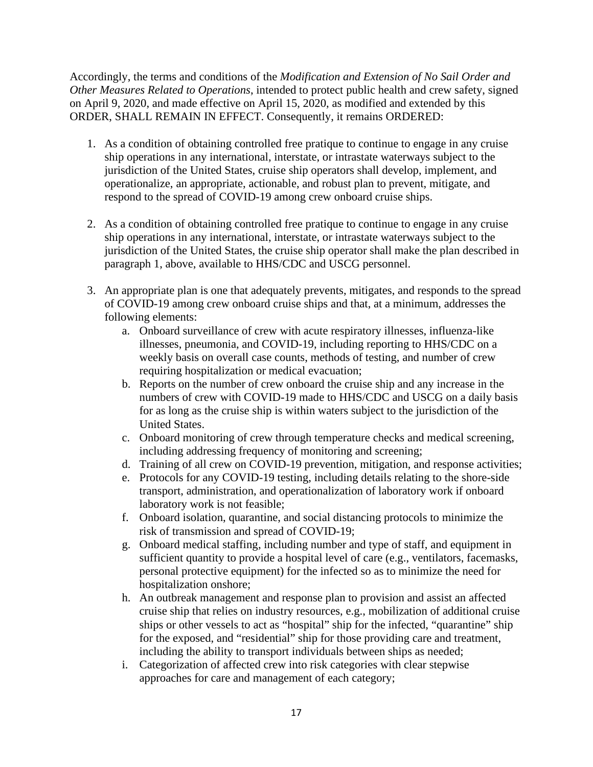Accordingly, the terms and conditions of the *Modification and Extension of No Sail Order and Other Measures Related to Operations*, intended to protect public health and crew safety, signed on April 9, 2020, and made effective on April 15, 2020, as modified and extended by this ORDER, SHALL REMAIN IN EFFECT. Consequently, it remains ORDERED:

- 1. As a condition of obtaining controlled free pratique to continue to engage in any cruise ship operations in any international, interstate, or intrastate waterways subject to the jurisdiction of the United States, cruise ship operators shall develop, implement, and operationalize, an appropriate, actionable, and robust plan to prevent, mitigate, and respond to the spread of COVID-19 among crew onboard cruise ships.
- 2. As a condition of obtaining controlled free pratique to continue to engage in any cruise ship operations in any international, interstate, or intrastate waterways subject to the jurisdiction of the United States, the cruise ship operator shall make the plan described in paragraph 1, above, available to HHS/CDC and USCG personnel.
- 3. An appropriate plan is one that adequately prevents, mitigates, and responds to the spread of COVID-19 among crew onboard cruise ships and that, at a minimum, addresses the following elements:
	- a. Onboard surveillance of crew with acute respiratory illnesses, influenza-like illnesses, pneumonia, and COVID-19, including reporting to HHS/CDC on a weekly basis on overall case counts, methods of testing, and number of crew requiring hospitalization or medical evacuation;
	- b. Reports on the number of crew onboard the cruise ship and any increase in the numbers of crew with COVID-19 made to HHS/CDC and USCG on a daily basis for as long as the cruise ship is within waters subject to the jurisdiction of the United States.
	- c. Onboard monitoring of crew through temperature checks and medical screening, including addressing frequency of monitoring and screening;
	- d. Training of all crew on COVID-19 prevention, mitigation, and response activities;
	- e. Protocols for any COVID-19 testing, including details relating to the shore-side transport, administration, and operationalization of laboratory work if onboard laboratory work is not feasible;
	- f. Onboard isolation, quarantine, and social distancing protocols to minimize the risk of transmission and spread of COVID-19;
	- g. Onboard medical staffing, including number and type of staff, and equipment in sufficient quantity to provide a hospital level of care (e.g., ventilators, facemasks, personal protective equipment) for the infected so as to minimize the need for hospitalization onshore;
	- h. An outbreak management and response plan to provision and assist an affected cruise ship that relies on industry resources, e.g., mobilization of additional cruise ships or other vessels to act as "hospital" ship for the infected, "quarantine" ship for the exposed, and "residential" ship for those providing care and treatment, including the ability to transport individuals between ships as needed;
	- i. Categorization of affected crew into risk categories with clear stepwise approaches for care and management of each category;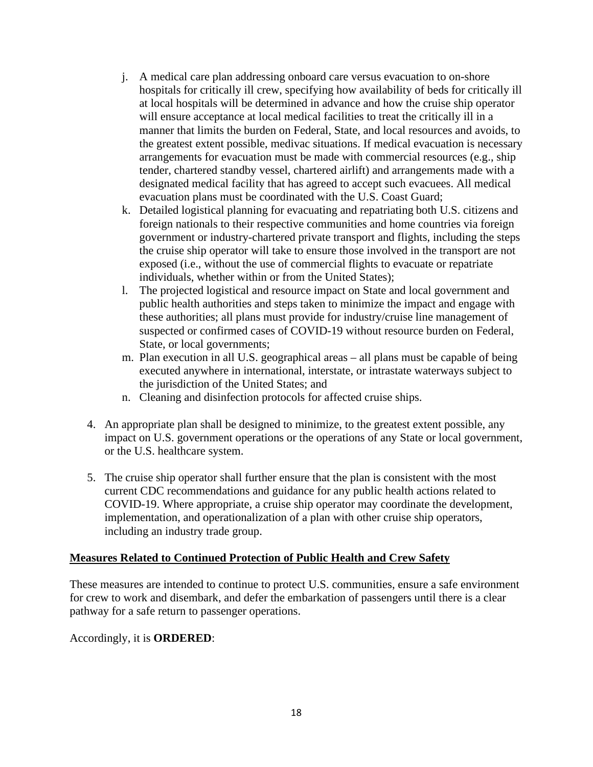- j. A medical care plan addressing onboard care versus evacuation to on-shore hospitals for critically ill crew, specifying how availability of beds for critically ill at local hospitals will be determined in advance and how the cruise ship operator will ensure acceptance at local medical facilities to treat the critically ill in a manner that limits the burden on Federal, State, and local resources and avoids, to the greatest extent possible, medivac situations. If medical evacuation is necessary arrangements for evacuation must be made with commercial resources (e.g., ship tender, chartered standby vessel, chartered airlift) and arrangements made with a designated medical facility that has agreed to accept such evacuees. All medical evacuation plans must be coordinated with the U.S. Coast Guard;
- k. Detailed logistical planning for evacuating and repatriating both U.S. citizens and foreign nationals to their respective communities and home countries via foreign government or industry-chartered private transport and flights, including the steps the cruise ship operator will take to ensure those involved in the transport are not exposed (i.e., without the use of commercial flights to evacuate or repatriate individuals, whether within or from the United States);
- l. The projected logistical and resource impact on State and local government and public health authorities and steps taken to minimize the impact and engage with these authorities; all plans must provide for industry/cruise line management of suspected or confirmed cases of COVID-19 without resource burden on Federal, State, or local governments;
- m. Plan execution in all U.S. geographical areas all plans must be capable of being executed anywhere in international, interstate, or intrastate waterways subject to the jurisdiction of the United States; and
- n. Cleaning and disinfection protocols for affected cruise ships.
- 4. An appropriate plan shall be designed to minimize, to the greatest extent possible, any impact on U.S. government operations or the operations of any State or local government, or the U.S. healthcare system.
- 5. The cruise ship operator shall further ensure that the plan is consistent with the most current CDC recommendations and guidance for any public health actions related to COVID-19. Where appropriate, a cruise ship operator may coordinate the development, implementation, and operationalization of a plan with other cruise ship operators, including an industry trade group.

#### **Measures Related to Continued Protection of Public Health and Crew Safety**

These measures are intended to continue to protect U.S. communities, ensure a safe environment for crew to work and disembark, and defer the embarkation of passengers until there is a clear pathway for a safe return to passenger operations.

Accordingly, it is **ORDERED**: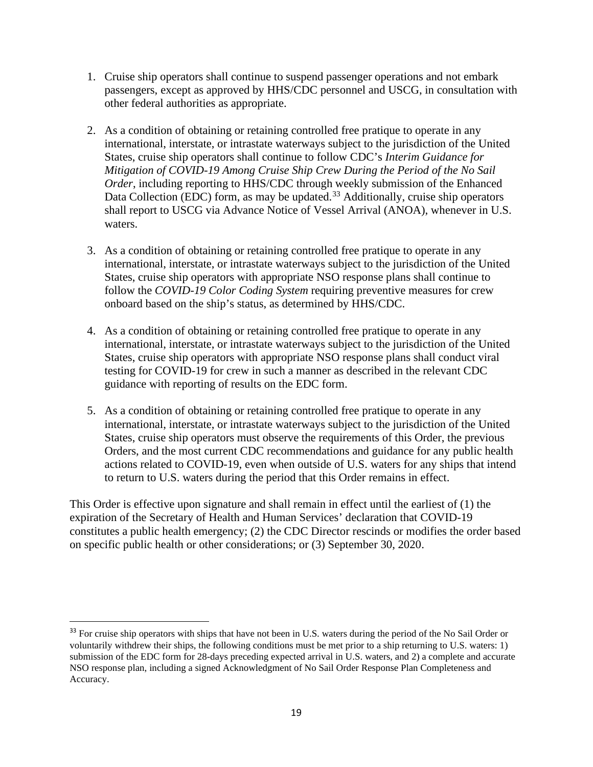- 1. Cruise ship operators shall continue to suspend passenger operations and not embark passengers, except as approved by HHS/CDC personnel and USCG, in consultation with other federal authorities as appropriate.
- 2. As a condition of obtaining or retaining controlled free pratique to operate in any international, interstate, or intrastate waterways subject to the jurisdiction of the United States, cruise ship operators shall continue to follow CDC's *Interim Guidance for Mitigation of COVID-19 Among Cruise Ship Crew During the Period of the No Sail Order*, including reporting to HHS/CDC through weekly submission of the Enhanced Data Collection (EDC) form, as may be updated.<sup>[33](#page-18-0)</sup> Additionally, cruise ship operators shall report to USCG via Advance Notice of Vessel Arrival (ANOA), whenever in U.S. waters.
- 3. As a condition of obtaining or retaining controlled free pratique to operate in any international, interstate, or intrastate waterways subject to the jurisdiction of the United States, cruise ship operators with appropriate NSO response plans shall continue to follow the *COVID-19 Color Coding System* requiring preventive measures for crew onboard based on the ship's status, as determined by HHS/CDC.
- 4. As a condition of obtaining or retaining controlled free pratique to operate in any international, interstate, or intrastate waterways subject to the jurisdiction of the United States, cruise ship operators with appropriate NSO response plans shall conduct viral testing for COVID-19 for crew in such a manner as described in the relevant CDC guidance with reporting of results on the EDC form.
- 5. As a condition of obtaining or retaining controlled free pratique to operate in any international, interstate, or intrastate waterways subject to the jurisdiction of the United States, cruise ship operators must observe the requirements of this Order, the previous Orders, and the most current CDC recommendations and guidance for any public health actions related to COVID-19, even when outside of U.S. waters for any ships that intend to return to U.S. waters during the period that this Order remains in effect.

This Order is effective upon signature and shall remain in effect until the earliest of (1) the expiration of the Secretary of Health and Human Services' declaration that COVID-19 constitutes a public health emergency; (2) the CDC Director rescinds or modifies the order based on specific public health or other considerations; or (3) September 30, 2020.

<span id="page-18-0"></span><sup>&</sup>lt;sup>33</sup> For cruise ship operators with ships that have not been in U.S. waters during the period of the No Sail Order or voluntarily withdrew their ships, the following conditions must be met prior to a ship returning to U.S. waters: 1) submission of the EDC form for 28-days preceding expected arrival in U.S. waters, and 2) a complete and accurate NSO response plan, including a signed Acknowledgment of No Sail Order Response Plan Completeness and Accuracy.